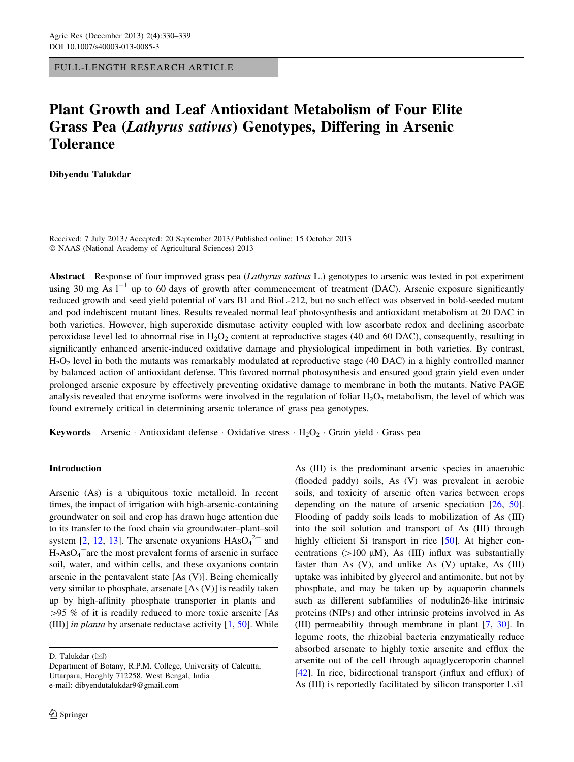FULL-LENGTH RESEARCH ARTICLE

# Plant Growth and Leaf Antioxidant Metabolism of Four Elite Grass Pea (Lathyrus sativus) Genotypes, Differing in Arsenic **Tolerance**

Dibyendu Talukdar

Received: 7 July 2013 / Accepted: 20 September 2013 / Published online: 15 October 2013 © NAAS (National Academy of Agricultural Sciences) 2013

Abstract Response of four improved grass pea (Lathyrus sativus L.) genotypes to arsenic was tested in pot experiment using 30 mg As  $1^{-1}$  up to 60 days of growth after commencement of treatment (DAC). Arsenic exposure significantly reduced growth and seed yield potential of vars B1 and BioL-212, but no such effect was observed in bold-seeded mutant and pod indehiscent mutant lines. Results revealed normal leaf photosynthesis and antioxidant metabolism at 20 DAC in both varieties. However, high superoxide dismutase activity coupled with low ascorbate redox and declining ascorbate peroxidase level led to abnormal rise in  $H_2O_2$  content at reproductive stages (40 and 60 DAC), consequently, resulting in significantly enhanced arsenic-induced oxidative damage and physiological impediment in both varieties. By contrast, H2O2 level in both the mutants was remarkably modulated at reproductive stage (40 DAC) in a highly controlled manner by balanced action of antioxidant defense. This favored normal photosynthesis and ensured good grain yield even under prolonged arsenic exposure by effectively preventing oxidative damage to membrane in both the mutants. Native PAGE analysis revealed that enzyme isoforms were involved in the regulation of foliar  $H_2O_2$  metabolism, the level of which was found extremely critical in determining arsenic tolerance of grass pea genotypes.

**Keywords** Arsenic · Antioxidant defense · Oxidative stress ·  $H_2O_2$  · Grain yield · Grass pea

# Introduction

Arsenic (As) is a ubiquitous toxic metalloid. In recent times, the impact of irrigation with high-arsenic-containing groundwater on soil and crop has drawn huge attention due to its transfer to the food chain via groundwater–plant–soil system [[2,](#page-8-0) [12,](#page-8-0) [13\]](#page-8-0). The arsenate oxyanions  $HAsO<sub>4</sub><sup>2-</sup>$  and  $H_2AsO_4$ <sup>-</sup>are the most prevalent forms of arsenic in surface soil, water, and within cells, and these oxyanions contain arsenic in the pentavalent state [As (V)]. Being chemically very similar to phosphate, arsenate [As (V)] is readily taken up by high-affinity phosphate transporter in plants and  $>95$  % of it is readily reduced to more toxic arsenite [As (III)] in planta by arsenate reductase activity  $[1, 50]$  $[1, 50]$  $[1, 50]$  $[1, 50]$ . While

D. Talukdar  $(\boxtimes)$ 

As (III) is the predominant arsenic species in anaerobic (flooded paddy) soils, As (V) was prevalent in aerobic soils, and toxicity of arsenic often varies between crops depending on the nature of arsenic speciation [[26,](#page-8-0) [50](#page-9-0)]. Flooding of paddy soils leads to mobilization of As (III) into the soil solution and transport of As (III) through highly efficient Si transport in rice [[50\]](#page-9-0). At higher concentrations ( $>100 \mu M$ ), As (III) influx was substantially faster than As  $(V)$ , and unlike As  $(V)$  uptake, As  $(III)$ uptake was inhibited by glycerol and antimonite, but not by phosphate, and may be taken up by aquaporin channels such as different subfamilies of nodulin26-like intrinsic proteins (NIPs) and other intrinsic proteins involved in As (III) permeability through membrane in plant [\[7,](#page-8-0) [30\]](#page-9-0). In legume roots, the rhizobial bacteria enzymatically reduce absorbed arsenate to highly toxic arsenite and efflux the arsenite out of the cell through aquaglyceroporin channel [\[42](#page-9-0)]. In rice, bidirectional transport (influx and efflux) of As (III) is reportedly facilitated by silicon transporter Lsi1

Department of Botany, R.P.M. College, University of Calcutta, Uttarpara, Hooghly 712258, West Bengal, India e-mail: dibyendutalukdar9@gmail.com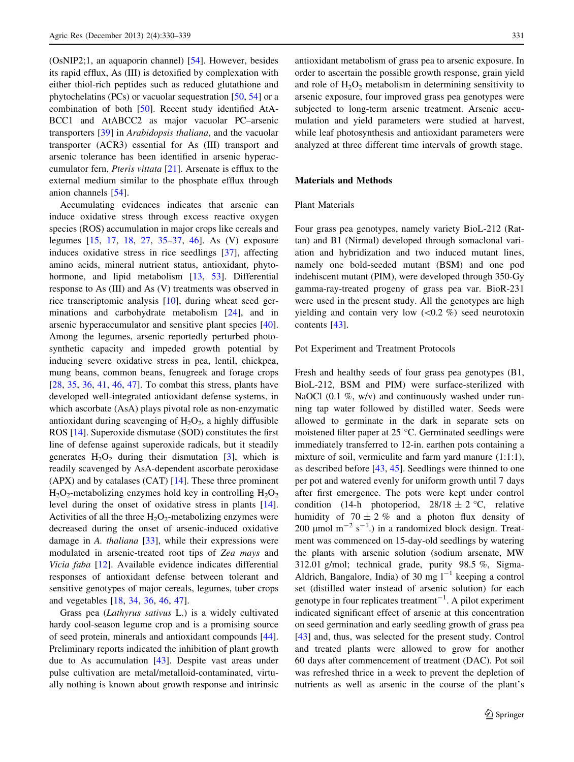(OsNIP2;1, an aquaporin channel) [[54\]](#page-9-0). However, besides its rapid efflux, As (III) is detoxified by complexation with either thiol-rich peptides such as reduced glutathione and phytochelatins (PCs) or vacuolar sequestration [\[50](#page-9-0), [54](#page-9-0)] or a combination of both [[50\]](#page-9-0). Recent study identified AtA-BCC1 and AtABCC2 as major vacuolar PC–arsenic transporters [[39\]](#page-9-0) in Arabidopsis thaliana, and the vacuolar transporter (ACR3) essential for As (III) transport and arsenic tolerance has been identified in arsenic hyperaccumulator fern, Pteris vittata [\[21](#page-8-0)]. Arsenate is efflux to the external medium similar to the phosphate efflux through anion channels [\[54](#page-9-0)].

Accumulating evidences indicates that arsenic can induce oxidative stress through excess reactive oxygen species (ROS) accumulation in major crops like cereals and legumes [[15,](#page-8-0) [17,](#page-8-0) [18](#page-8-0), [27](#page-8-0), [35–37,](#page-9-0) [46\]](#page-9-0). As (V) exposure induces oxidative stress in rice seedlings [[37\]](#page-9-0), affecting amino acids, mineral nutrient status, antioxidant, phyto-hormone, and lipid metabolism [\[13](#page-8-0), [53](#page-9-0)]. Differential response to As (III) and As (V) treatments was observed in rice transcriptomic analysis [\[10](#page-8-0)], during wheat seed germinations and carbohydrate metabolism [[24\]](#page-8-0), and in arsenic hyperaccumulator and sensitive plant species [\[40](#page-9-0)]. Among the legumes, arsenic reportedly perturbed photosynthetic capacity and impeded growth potential by inducing severe oxidative stress in pea, lentil, chickpea, mung beans, common beans, fenugreek and forage crops [\[28](#page-9-0), [35,](#page-9-0) [36](#page-9-0), [41](#page-9-0), [46,](#page-9-0) [47](#page-9-0)]. To combat this stress, plants have developed well-integrated antioxidant defense systems, in which ascorbate (AsA) plays pivotal role as non-enzymatic antioxidant during scavenging of  $H_2O_2$ , a highly diffusible ROS [\[14](#page-8-0)]. Superoxide dismutase (SOD) constitutes the first line of defense against superoxide radicals, but it steadily generates  $H_2O_2$  during their dismutation [\[3](#page-8-0)], which is readily scavenged by AsA-dependent ascorbate peroxidase (APX) and by catalases (CAT) [\[14](#page-8-0)]. These three prominent  $H_2O_2$ -metabolizing enzymes hold key in controlling  $H_2O_2$ level during the onset of oxidative stress in plants [\[14](#page-8-0)]. Activities of all the three  $H_2O_2$ -metabolizing enzymes were decreased during the onset of arsenic-induced oxidative damage in A. thaliana  $[33]$  $[33]$ , while their expressions were modulated in arsenic-treated root tips of Zea mays and Vicia faba [[12\]](#page-8-0). Available evidence indicates differential responses of antioxidant defense between tolerant and sensitive genotypes of major cereals, legumes, tuber crops and vegetables [[18,](#page-8-0) [34,](#page-9-0) [36](#page-9-0), [46](#page-9-0), [47\]](#page-9-0).

Grass pea (Lathyrus sativus L.) is a widely cultivated hardy cool-season legume crop and is a promising source of seed protein, minerals and antioxidant compounds [\[44](#page-9-0)]. Preliminary reports indicated the inhibition of plant growth due to As accumulation [\[43](#page-9-0)]. Despite vast areas under pulse cultivation are metal/metalloid-contaminated, virtually nothing is known about growth response and intrinsic antioxidant metabolism of grass pea to arsenic exposure. In order to ascertain the possible growth response, grain yield and role of  $H_2O_2$  metabolism in determining sensitivity to arsenic exposure, four improved grass pea genotypes were subjected to long-term arsenic treatment. Arsenic accumulation and yield parameters were studied at harvest, while leaf photosynthesis and antioxidant parameters were analyzed at three different time intervals of growth stage.

## Materials and Methods

## Plant Materials

Four grass pea genotypes, namely variety BioL-212 (Rattan) and B1 (Nirmal) developed through somaclonal variation and hybridization and two induced mutant lines, namely one bold-seeded mutant (BSM) and one pod indehiscent mutant (PIM), were developed through 350-Gy gamma-ray-treated progeny of grass pea var. BioR-231 were used in the present study. All the genotypes are high yielding and contain very low  $(<0.2 \%$ ) seed neurotoxincontents [\[43](#page-9-0)].

# Pot Experiment and Treatment Protocols

Fresh and healthy seeds of four grass pea genotypes (B1, BioL-212, BSM and PIM) were surface-sterilized with NaOCl  $(0.1 \%)$ , w/v) and continuously washed under running tap water followed by distilled water. Seeds were allowed to germinate in the dark in separate sets on moistened filter paper at  $25^{\circ}$ C. Germinated seedlings were immediately transferred to 12-in. earthen pots containing a mixture of soil, vermiculite and farm yard manure (1:1:1), as described before [[43,](#page-9-0) [45\]](#page-9-0). Seedlings were thinned to one per pot and watered evenly for uniform growth until 7 days after first emergence. The pots were kept under control condition (14-h photoperiod,  $28/18 \pm 2$  °C, relative humidity of  $70 \pm 2\%$  and a photon flux density of 200 µmol m<sup>-2</sup> s<sup>-1</sup>.) in a randomized block design. Treatment was commenced on 15-day-old seedlings by watering the plants with arsenic solution (sodium arsenate, MW 312.01 g/mol; technical grade, purity 98.5 %, Sigma-Aldrich, Bangalore, India) of 30 mg  $l^{-1}$  keeping a control set (distilled water instead of arsenic solution) for each genotype in four replicates treatment $^{-1}$ . A pilot experiment indicated significant effect of arsenic at this concentration on seed germination and early seedling growth of grass pea [\[43](#page-9-0)] and, thus, was selected for the present study. Control and treated plants were allowed to grow for another 60 days after commencement of treatment (DAC). Pot soil was refreshed thrice in a week to prevent the depletion of nutrients as well as arsenic in the course of the plant's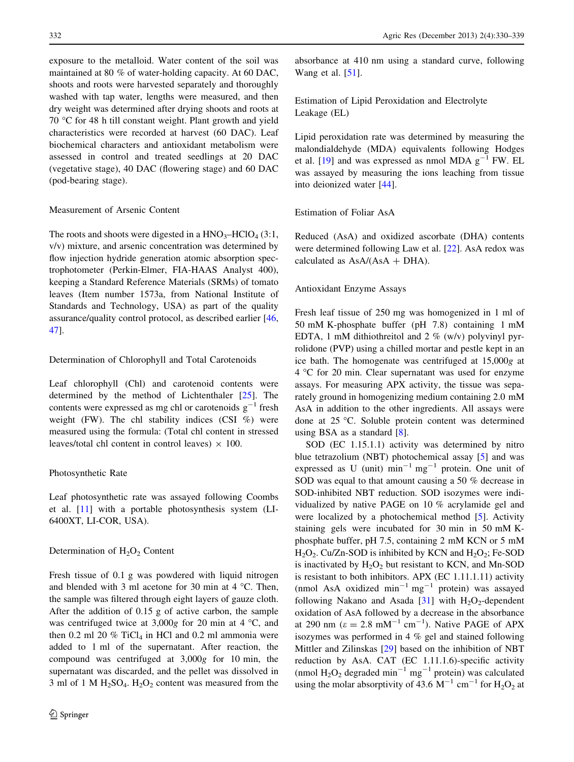exposure to the metalloid. Water content of the soil was maintained at 80 % of water-holding capacity. At 60 DAC, shoots and roots were harvested separately and thoroughly washed with tap water, lengths were measured, and then dry weight was determined after drying shoots and roots at 70  $\degree$ C for 48 h till constant weight. Plant growth and yield characteristics were recorded at harvest (60 DAC). Leaf biochemical characters and antioxidant metabolism were assessed in control and treated seedlings at 20 DAC (vegetative stage), 40 DAC (flowering stage) and 60 DAC (pod-bearing stage).

## Measurement of Arsenic Content

The roots and shoots were digested in a  $HNO<sub>3</sub>–HClO<sub>4</sub> (3:1, 1)$ v/v) mixture, and arsenic concentration was determined by flow injection hydride generation atomic absorption spectrophotometer (Perkin-Elmer, FIA-HAAS Analyst 400), keeping a Standard Reference Materials (SRMs) of tomato leaves (Item number 1573a, from National Institute of Standards and Technology, USA) as part of the quality assurance/quality control protocol, as described earlier [[46,](#page-9-0) [47](#page-9-0)].

#### Determination of Chlorophyll and Total Carotenoids

Leaf chlorophyll (Chl) and carotenoid contents were determined by the method of Lichtenthaler [\[25](#page-8-0)]. The contents were expressed as mg chl or carotenoids  $g^{-1}$  fresh weight (FW). The chl stability indices (CSI  $%$ ) were measured using the formula: (Total chl content in stressed leaves/total chl content in control leaves)  $\times$  100.

## Photosynthetic Rate

Leaf photosynthetic rate was assayed following Coombs et al. [[11\]](#page-8-0) with a portable photosynthesis system (LI-6400XT, LI-COR, USA).

## Determination of  $H_2O_2$  Content

Fresh tissue of 0.1 g was powdered with liquid nitrogen and blended with 3 ml acetone for 30 min at 4  $\degree$ C. Then, the sample was filtered through eight layers of gauze cloth. After the addition of 0.15 g of active carbon, the sample was centrifuged twice at  $3,000g$  for 20 min at 4 °C, and then 0.2 ml 20  $%$  TiCl<sub>4</sub> in HCl and 0.2 ml ammonia were added to 1 ml of the supernatant. After reaction, the compound was centrifuged at 3,000g for 10 min, the supernatant was discarded, and the pellet was dissolved in 3 ml of 1 M  $H_2SO_4$ .  $H_2O_2$  content was measured from the absorbance at 410 nm using a standard curve, following Wang et al. [\[51](#page-9-0)].

Estimation of Lipid Peroxidation and Electrolyte Leakage (EL)

Lipid peroxidation rate was determined by measuring the malondialdehyde (MDA) equivalents following Hodges et al. [[19\]](#page-8-0) and was expressed as nmol MDA  $g^{-1}$  FW. EL was assayed by measuring the ions leaching from tissue into deionized water [\[44](#page-9-0)].

Estimation of Foliar AsA

Reduced (AsA) and oxidized ascorbate (DHA) contents were determined following Law et al. [[22\]](#page-8-0). AsA redox was calculated as  $AsA/(AsA + DHA)$ .

# Antioxidant Enzyme Assays

Fresh leaf tissue of 250 mg was homogenized in 1 ml of 50 mM K-phosphate buffer (pH 7.8) containing 1 mM EDTA, 1 mM dithiothreitol and 2  $\%$  (w/v) polyvinyl pyrrolidone (PVP) using a chilled mortar and pestle kept in an ice bath. The homogenate was centrifuged at 15,000g at  $4 °C$  for 20 min. Clear supernatant was used for enzyme assays. For measuring APX activity, the tissue was separately ground in homogenizing medium containing 2.0 mM AsA in addition to the other ingredients. All assays were done at  $25^{\circ}$ C. Soluble protein content was determined using BSA as a standard [[8\]](#page-8-0).

SOD (EC 1.15.1.1) activity was determined by nitro blue tetrazolium (NBT) photochemical assay [[5](#page-8-0)] and was expressed as U (unit)  $\min^{-1} mg^{-1}$  protein. One unit of SOD was equal to that amount causing a 50 % decrease in SOD-inhibited NBT reduction. SOD isozymes were individualized by native PAGE on 10 % acrylamide gel and were localized by a photochemical method [\[5](#page-8-0)]. Activity staining gels were incubated for 30 min in 50 mM Kphosphate buffer, pH 7.5, containing 2 mM KCN or 5 mM  $H_2O_2$ . Cu/Zn-SOD is inhibited by KCN and  $H_2O_2$ ; Fe-SOD is inactivated by  $H_2O_2$  but resistant to KCN, and Mn-SOD is resistant to both inhibitors. APX (EC 1.11.1.11) activity (nmol AsA oxidized  $\text{min}^{-1} \text{ mg}^{-1}$  protein) was assayed following Nakano and Asada  $[31]$  $[31]$  with  $H_2O_2$ -dependent oxidation of AsA followed by a decrease in the absorbance at 290 nm ( $\varepsilon = 2.8$  mM<sup>-1</sup> cm<sup>-1</sup>). Native PAGE of APX isozymes was performed in 4 % gel and stained following Mittler and Zilinskas [[29\]](#page-9-0) based on the inhibition of NBT reduction by AsA. CAT (EC 1.11.1.6)-specific activity (nmol  $H_2O_2$  degraded min<sup>-1</sup> mg<sup>-1</sup> protein) was calculated using the molar absorptivity of 43.6  $M^{-1}$  cm<sup>-1</sup> for H<sub>2</sub>O<sub>2</sub> at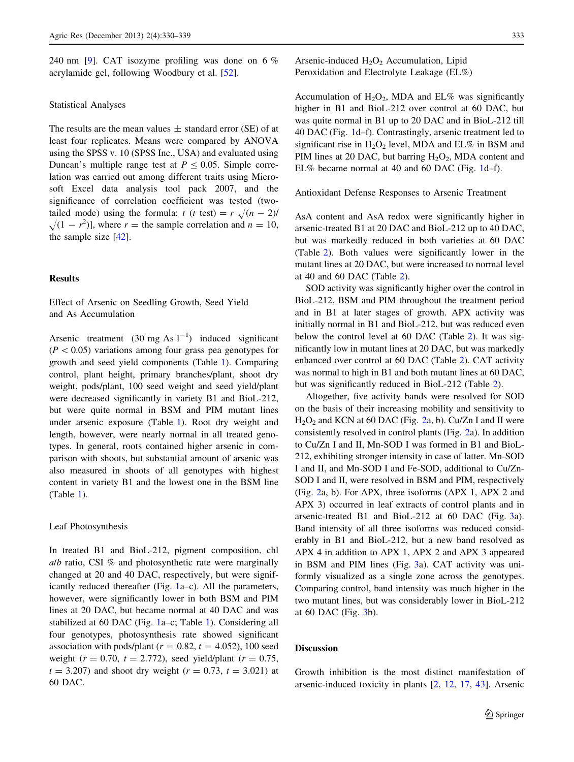240 nm [[9\]](#page-8-0). CAT isozyme profiling was done on 6 % acrylamide gel, following Woodbury et al. [\[52](#page-9-0)].

#### Statistical Analyses

The results are the mean values  $\pm$  standard error (SE) of at least four replicates. Means were compared by ANOVA using the SPSS v. 10 (SPSS Inc., USA) and evaluated using Duncan's multiple range test at  $P < 0.05$ . Simple correlation was carried out among different traits using Microsoft Excel data analysis tool pack 2007, and the significance of correlation coefficient was tested (twotailed mode) using the formula:  $t (t \text{ test}) = r \sqrt{(n - 2)}$  $\sqrt{(1 - r^2)}$ , where r = the sample correlation and  $n = 10$ , the sample size [[42\]](#page-9-0).

## Results

Effect of Arsenic on Seedling Growth, Seed Yield and As Accumulation

Arsenic treatment  $(30 \text{ mg As } 1^{-1})$  induced significant  $(P<0.05)$  variations among four grass pea genotypes for growth and seed yield components (Table [1](#page-4-0)). Comparing control, plant height, primary branches/plant, shoot dry weight, pods/plant, 100 seed weight and seed yield/plant were decreased significantly in variety B1 and BioL-212, but were quite normal in BSM and PIM mutant lines under arsenic exposure (Table [1](#page-4-0)). Root dry weight and length, however, were nearly normal in all treated genotypes. In general, roots contained higher arsenic in comparison with shoots, but substantial amount of arsenic was also measured in shoots of all genotypes with highest content in variety B1 and the lowest one in the BSM line (Table [1](#page-4-0)).

## Leaf Photosynthesis

In treated B1 and BioL-212, pigment composition, chl a/b ratio, CSI % and photosynthetic rate were marginally changed at 20 and 40 DAC, respectively, but were significantly reduced thereafter (Fig. [1a](#page-5-0)–c). All the parameters, however, were significantly lower in both BSM and PIM lines at 20 DAC, but became normal at 40 DAC and was stabilized at 60 DAC (Fig. [1](#page-5-0)a–c; Table [1](#page-4-0)). Considering all four genotypes, photosynthesis rate showed significant association with pods/plant ( $r = 0.82$ ,  $t = 4.052$ ), 100 seed weight ( $r = 0.70$ ,  $t = 2.772$ ), seed yield/plant ( $r = 0.75$ ,  $t = 3.207$ ) and shoot dry weight ( $r = 0.73$ ,  $t = 3.021$ ) at 60 DAC.

Arsenic-induced  $H_2O_2$  Accumulation, Lipid Peroxidation and Electrolyte Leakage (EL%)

Accumulation of  $H_2O_2$ , MDA and EL% was significantly higher in B1 and BioL-212 over control at 60 DAC, but was quite normal in B1 up to 20 DAC and in BioL-212 till 40 DAC (Fig. [1](#page-5-0)d–f). Contrastingly, arsenic treatment led to significant rise in  $H_2O_2$  level, MDA and EL% in BSM and PIM lines at 20 DAC, but barring  $H_2O_2$ , MDA content and EL% became normal at 40 and 60 DAC (Fig. [1](#page-5-0)d–f).

#### Antioxidant Defense Responses to Arsenic Treatment

AsA content and AsA redox were significantly higher in arsenic-treated B1 at 20 DAC and BioL-212 up to 40 DAC, but was markedly reduced in both varieties at 60 DAC (Table [2\)](#page-6-0). Both values were significantly lower in the mutant lines at 20 DAC, but were increased to normal level at 40 and 60 DAC (Table [2\)](#page-6-0).

SOD activity was significantly higher over the control in BioL-212, BSM and PIM throughout the treatment period and in B1 at later stages of growth. APX activity was initially normal in B1 and BioL-212, but was reduced even below the control level at 60 DAC (Table [2](#page-6-0)). It was significantly low in mutant lines at 20 DAC, but was markedly enhanced over control at 60 DAC (Table [2\)](#page-6-0). CAT activity was normal to high in B1 and both mutant lines at 60 DAC, but was significantly reduced in BioL-212 (Table [2\)](#page-6-0).

Altogether, five activity bands were resolved for SOD on the basis of their increasing mobility and sensitivity to  $H<sub>2</sub>O<sub>2</sub>$  $H<sub>2</sub>O<sub>2</sub>$  $H<sub>2</sub>O<sub>2</sub>$  and KCN at 60 DAC (Fig. 2a, b). Cu/Zn I and II were consistently resolved in control plants (Fig. [2a](#page-7-0)). In addition to Cu/Zn I and II, Mn-SOD I was formed in B1 and BioL-212, exhibiting stronger intensity in case of latter. Mn-SOD I and II, and Mn-SOD I and Fe-SOD, additional to Cu/Zn-SOD I and II, were resolved in BSM and PIM, respectively (Fig. [2a](#page-7-0), b). For APX, three isoforms (APX 1, APX 2 and APX 3) occurred in leaf extracts of control plants and in arsenic-treated B1 and BioL-212 at 60 DAC (Fig. [3a](#page-7-0)). Band intensity of all three isoforms was reduced considerably in B1 and BioL-212, but a new band resolved as APX 4 in addition to APX 1, APX 2 and APX 3 appeared in BSM and PIM lines (Fig. [3a](#page-7-0)). CAT activity was uniformly visualized as a single zone across the genotypes. Comparing control, band intensity was much higher in the two mutant lines, but was considerably lower in BioL-212 at 60 DAC (Fig. [3b](#page-7-0)).

## Discussion

Growth inhibition is the most distinct manifestation of arsenic-induced toxicity in plants [\[2](#page-8-0), [12](#page-8-0), [17](#page-8-0), [43\]](#page-9-0). Arsenic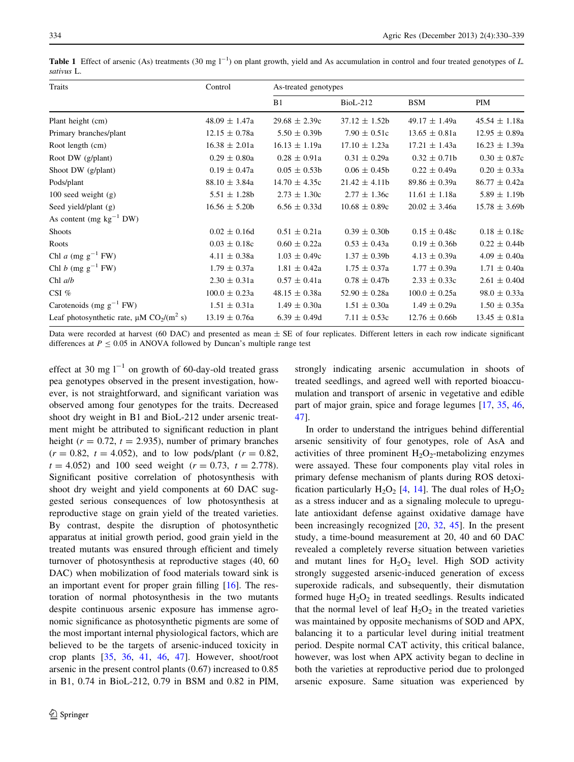<span id="page-4-0"></span>**Table 1** Effect of arsenic (As) treatments (30 mg  $I^{-1}$ ) on plant growth, yield and As accumulation in control and four treated genotypes of L. sativus L.

| Traits                                                                | Control           | As-treated genotypes |                   |                   |                   |  |
|-----------------------------------------------------------------------|-------------------|----------------------|-------------------|-------------------|-------------------|--|
|                                                                       |                   | B1                   | $BioL-212$        | <b>BSM</b>        | PIM               |  |
| Plant height (cm)                                                     | $48.09 \pm 1.47a$ | $29.68 \pm 2.39c$    | $37.12 \pm 1.52b$ | $49.17 \pm 1.49a$ | $45.54 \pm 1.18a$ |  |
| Primary branches/plant                                                | $12.15 \pm 0.78a$ | $5.50 \pm 0.39b$     | $7.90 \pm 0.51c$  | $13.65 \pm 0.81a$ | $12.95 \pm 0.89a$ |  |
| Root length (cm)                                                      | $16.38 \pm 2.01a$ | $16.13 \pm 1.19a$    | $17.10 \pm 1.23a$ | $17.21 \pm 1.43a$ | $16.23 \pm 1.39a$ |  |
| Root DW (g/plant)                                                     | $0.29 \pm 0.80a$  | $0.28 \pm 0.91a$     | $0.31 \pm 0.29a$  | $0.32 \pm 0.71b$  | $0.30 \pm 0.87c$  |  |
| Shoot DW (g/plant)                                                    | $0.19 \pm 0.47a$  | $0.05 \pm 0.53b$     | $0.06 \pm 0.45$   | $0.22 \pm 0.49a$  | $0.20 \pm 0.33a$  |  |
| Pods/plant                                                            | $88.10 \pm 3.84a$ | $14.70 \pm 4.35c$    | $21.42 \pm 4.11b$ | $89.86 \pm 0.39a$ | $86.77 \pm 0.42a$ |  |
| 100 seed weight $(g)$                                                 | $5.51 \pm 1.28b$  | $2.73 \pm 1.30c$     | $2.77 \pm 1.36c$  | $11.61 \pm 1.18a$ | $5.89 \pm 1.19b$  |  |
| Seed yield/plant (g)                                                  | $16.56 \pm 5.20b$ | $6.56 \pm 0.33d$     | $10.68 \pm 0.89c$ | $20.02 \pm 3.46a$ | $15.78 \pm 3.69$  |  |
| As content (mg $kg^{-1}$ DW)                                          |                   |                      |                   |                   |                   |  |
| <b>Shoots</b>                                                         | $0.02 \pm 0.16d$  | $0.51 \pm 0.21a$     | $0.39 \pm 0.30b$  | $0.15 \pm 0.48c$  | $0.18 \pm 0.18c$  |  |
| Roots                                                                 | $0.03 \pm 0.18c$  | $0.60 \pm 0.22a$     | $0.53 \pm 0.43a$  | $0.19 \pm 0.36$   | $0.22 \pm 0.44$   |  |
| Chl a (mg $g^{-1}$ FW)                                                | $4.11 \pm 0.38a$  | $1.03 \pm 0.49c$     | $1.37 \pm 0.39b$  | $4.13 \pm 0.39a$  | $4.09 \pm 0.40a$  |  |
| Chl b (mg $g^{-1}$ FW)                                                | $1.79 \pm 0.37a$  | $1.81 \pm 0.42a$     | $1.75 \pm 0.37a$  | $1.77 \pm 0.39a$  | $1.71 \pm 0.40a$  |  |
| Chl $a/b$                                                             | $2.30 \pm 0.31a$  | $0.57 \pm 0.41a$     | $0.78 \pm 0.47$ b | $2.33 \pm 0.33c$  | $2.61 \pm 0.40d$  |  |
| CSI $%$                                                               | $100.0 \pm 0.23a$ | $48.15 \pm 0.38a$    | $52.90 \pm 0.28a$ | $100.0 \pm 0.25a$ | $98.0 \pm 0.33a$  |  |
| Carotenoids (mg $g^{-1}$ FW)                                          | $1.51 \pm 0.31a$  | $1.49 \pm 0.30a$     | $1.51 \pm 0.30a$  | $1.49 \pm 0.29a$  | $1.50 \pm 0.35a$  |  |
| Leaf photosynthetic rate, $\mu$ M CO <sub>2</sub> /(m <sup>2</sup> s) | $13.19 \pm 0.76a$ | $6.39 \pm 0.49d$     | $7.11 \pm 0.53c$  | $12.76 \pm 0.66$  | $13.45 \pm 0.81a$ |  |

Data were recorded at harvest (60 DAC) and presented as mean ± SE of four replicates. Different letters in each row indicate significant differences at  $P \le 0.05$  in ANOVA followed by Duncan's multiple range test

effect at 30 mg  $l^{-1}$  on growth of 60-day-old treated grass pea genotypes observed in the present investigation, however, is not straightforward, and significant variation was observed among four genotypes for the traits. Decreased shoot dry weight in B1 and BioL-212 under arsenic treatment might be attributed to significant reduction in plant height ( $r = 0.72$ ,  $t = 2.935$ ), number of primary branches  $(r = 0.82, t = 4.052)$ , and to low pods/plant  $(r = 0.82, t = 4.052)$  $t = 4.052$ ) and 100 seed weight  $(r = 0.73, t = 2.778)$ . Significant positive correlation of photosynthesis with shoot dry weight and yield components at 60 DAC suggested serious consequences of low photosynthesis at reproductive stage on grain yield of the treated varieties. By contrast, despite the disruption of photosynthetic apparatus at initial growth period, good grain yield in the treated mutants was ensured through efficient and timely turnover of photosynthesis at reproductive stages (40, 60 DAC) when mobilization of food materials toward sink is an important event for proper grain filling [[16\]](#page-8-0). The restoration of normal photosynthesis in the two mutants despite continuous arsenic exposure has immense agronomic significance as photosynthetic pigments are some of the most important internal physiological factors, which are believed to be the targets of arsenic-induced toxicity in crop plants [[35,](#page-9-0) [36](#page-9-0), [41,](#page-9-0) [46](#page-9-0), [47\]](#page-9-0). However, shoot/root arsenic in the present control plants (0.67) increased to 0.85 in B1, 0.74 in BioL-212, 0.79 in BSM and 0.82 in PIM,

strongly indicating arsenic accumulation in shoots of treated seedlings, and agreed well with reported bioaccumulation and transport of arsenic in vegetative and edible part of major grain, spice and forage legumes [\[17](#page-8-0), [35,](#page-9-0) [46,](#page-9-0) [47](#page-9-0)].

In order to understand the intrigues behind differential arsenic sensitivity of four genotypes, role of AsA and activities of three prominent  $H_2O_2$ -metabolizing enzymes were assayed. These four components play vital roles in primary defense mechanism of plants during ROS detoxification particularly  $H_2O_2$  [[4,](#page-8-0) [14\]](#page-8-0). The dual roles of  $H_2O_2$ as a stress inducer and as a signaling molecule to upregulate antioxidant defense against oxidative damage have been increasingly recognized [[20,](#page-8-0) [32](#page-9-0), [45\]](#page-9-0). In the present study, a time-bound measurement at 20, 40 and 60 DAC revealed a completely reverse situation between varieties and mutant lines for  $H_2O_2$  level. High SOD activity strongly suggested arsenic-induced generation of excess superoxide radicals, and subsequently, their dismutation formed huge  $H_2O_2$  in treated seedlings. Results indicated that the normal level of leaf  $H_2O_2$  in the treated varieties was maintained by opposite mechanisms of SOD and APX, balancing it to a particular level during initial treatment period. Despite normal CAT activity, this critical balance, however, was lost when APX activity began to decline in both the varieties at reproductive period due to prolonged arsenic exposure. Same situation was experienced by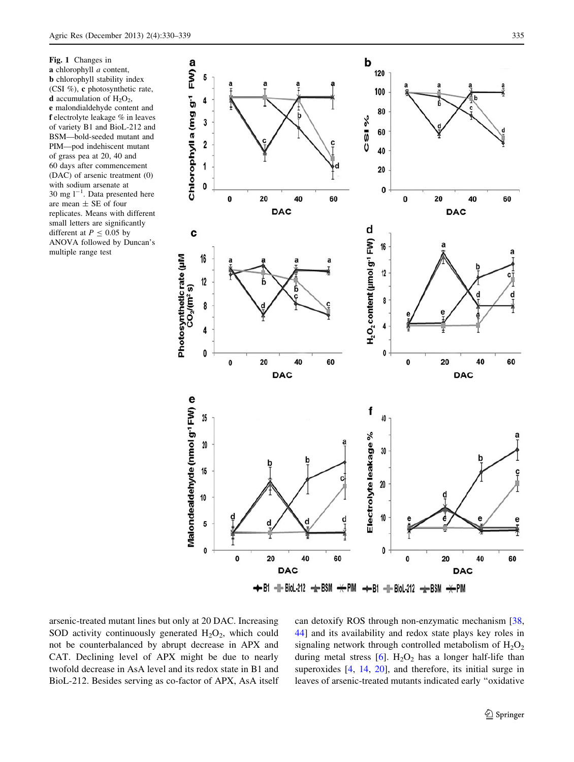<span id="page-5-0"></span>Fig. 1 Changes in a chlorophyll *a* content, **b** chlorophyll stability index (CSI %), c photosynthetic rate, **d** accumulation of  $H_2O_2$ , e malondialdehyde content and f electrolyte leakage % in leaves of variety B1 and BioL-212 and BSM—bold-seeded mutant and PIM—pod indehiscent mutant of grass pea at 20, 40 and 60 days after commencement (DAC) of arsenic treatment (0) with sodium arsenate at 30 mg  $1^{-1}$ . Data presented here are mean ± SE of four replicates. Means with different small letters are significantly different at  $P \le 0.05$  by ANOVA followed by Duncan's multiple range test



arsenic-treated mutant lines but only at 20 DAC. Increasing SOD activity continuously generated  $H_2O_2$ , which could not be counterbalanced by abrupt decrease in APX and CAT. Declining level of APX might be due to nearly twofold decrease in AsA level and its redox state in B1 and BioL-212. Besides serving as co-factor of APX, AsA itself can detoxify ROS through non-enzymatic mechanism [[38,](#page-9-0) [44](#page-9-0)] and its availability and redox state plays key roles in signaling network through controlled metabolism of  $H_2O_2$ during metal stress  $[6]$  $[6]$ . H<sub>2</sub>O<sub>2</sub> has a longer half-life than superoxides [\[4](#page-8-0), [14,](#page-8-0) [20](#page-8-0)], and therefore, its initial surge in leaves of arsenic-treated mutants indicated early ''oxidative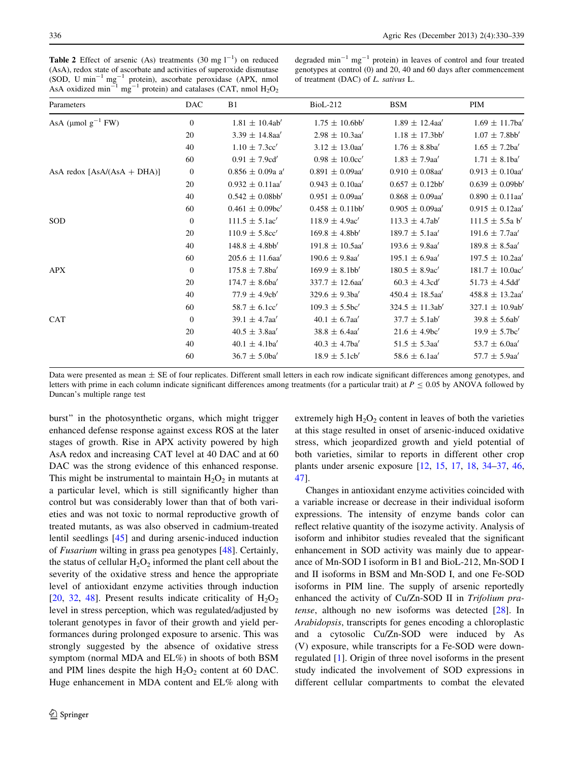<span id="page-6-0"></span>**Table 2** Effect of arsenic (As) treatments (30 mg  $1^{-1}$ ) on reduced (AsA), redox state of ascorbate and activities of superoxide dismutase (SOD, U min-<sup>1</sup> mg-<sup>1</sup> protein), ascorbate peroxidase (APX, nmol AsA oxidized min<sup>-1</sup> mg<sup>-1</sup> protein) and catalases (CAT, nmol  $H_2O_2$ 

degraded  $\text{min}^{-1} \text{ mg}^{-1}$  protein) in leaves of control and four treated genotypes at control (0) and 20, 40 and 60 days after commencement of treatment (DAC) of L. sativus L.

| Parameters                   | <b>DAC</b>     | B1                   | <b>BioL-212</b>      | <b>BSM</b>           | PIM                   |
|------------------------------|----------------|----------------------|----------------------|----------------------|-----------------------|
| AsA ( $\mu$ mol $g^{-1}$ FW) | $\mathbf{0}$   | $1.81 \pm 10.4ab'$   | $1.75 \pm 10.6$ bb'  | $1.89 \pm 12.4$ aa'  | $1.69 \pm 11.7$ ba'   |
|                              | 20             | $3.39 \pm 14.8$ aa'  | $2.98 \pm 10.3$ aa'  | $1.18 \pm 17.3$ bb'  | $1.07 \pm 7.8$ bb'    |
|                              | 40             | $1.10 \pm 7.3$ cc'   | $3.12 \pm 13.0$ aa'  | $1.76 \pm 8.8$ ba'   | $1.65 \pm 7.2$ ba'    |
|                              | 60             | $0.91 \pm 7.9$ cd'   | $0.98 \pm 10.0$ cc'  | $1.83 \pm 7.9$ aa'   | $1.71 \pm 8.1$ ba'    |
| AsA redox [AsA/(AsA + DHA)]  | $\mathbf{0}$   | $0.856 \pm 0.09a$ a' | $0.891 \pm 0.09$ aa' | $0.910 \pm 0.08$ aa' | $0.913\,\pm\,0.10$ a' |
|                              | 20             | $0.932 \pm 0.11$ aa' | $0.943 \pm 0.10$ aa' | $0.657 \pm 0.12bb'$  | $0.639 \pm 0.09$ bb'  |
|                              | 40             | $0.542 \pm 0.08$ bb' | $0.951 \pm 0.09$ aa' | $0.868 \pm 0.09$ aa' | $0.890 \pm 0.11$ aa'  |
|                              | 60             | $0.461 \pm 0.09$ bc' | $0.458 \pm 0.11$ bb' | $0.905 \pm 0.09$ aa' | $0.915 \pm 0.12$ aa'  |
| SOD                          | $\overline{0}$ | $111.5 \pm 5.1$ ac'  | $118.9 \pm 4.9$ ac'  | $113.3 \pm 4.7ab'$   | $111.5 \pm 5.5a b'$   |
|                              | 20             | $110.9 \pm 5.8$ cc'  | $169.8 \pm 4.8$ bb'  | $189.7 \pm 5.1$ aa'  | $191.6 \pm 7.7$ aa'   |
|                              | 40             | $148.8 \pm 4.8 b b'$ | $191.8 \pm 10.5$ aa' | $193.6 \pm 9.8$ aa'  | $189.8 \pm 8.5$ aa'   |
|                              | 60             | $205.6 \pm 11.6$ aa' | $190.6 \pm 9.8$ aa'  | $195.1 \pm 6.9$ aa'  | $197.5 \pm 10.2$ aa'  |
| <b>APX</b>                   | $\mathbf{0}$   | $175.8 \pm 7.8$ ba'  | $169.9 \pm 8.1$ bb'  | $180.5 \pm 8.9$ ac'  | $181.7 \pm 10.0$ ac'  |
|                              | 20             | $174.7 \pm 8.6$ ba'  | $337.7 \pm 12.6$ aa' | $60.3 \pm 4.3$ cd'   | $51.73 \pm 4.5$ dd'   |
|                              | 40             | $77.9 \pm 4.9cb'$    | $329.6 \pm 9.3$ ba'  | $450.4 \pm 18.5$ aa' | $458.8 \pm 13.2$ aa'  |
|                              | 60             | $58.7 \pm 6.1$ cc'   | $109.3 \pm 5.5$ bc'  | $324.5 \pm 11.3ab'$  | $327.1 \pm 10.9ab'$   |
| CAT                          | $\overline{0}$ | $39.1 \pm 4.7$ aa'   | $40.1 \pm 6.7$ aa'   | $37.7 \pm 5.1ab'$    | $39.8 \pm 5.6ab'$     |
|                              | 20             | $40.5 \pm 3.8$ aa'   | $38.8 \pm 6.4$ aa'   | $21.6 \pm 4.9$ bc'   | $19.9 \pm 5.7$ bc'    |
|                              | 40             | $40.1 \pm 4.1$ ba'   | $40.3 \pm 4.7$ ba'   | $51.5 \pm 5.3$ aa'   | 53.7 $\pm$ 6.0aa'     |
|                              | 60             | $36.7 \pm 5.0$ ba'   | $18.9 \pm 5.1$ cb'   | $58.6 \pm 6.1$ aa'   | $57.7 \pm 5.9$ aa'    |
|                              |                |                      |                      |                      |                       |

Data were presented as mean  $\pm$  SE of four replicates. Different small letters in each row indicate significant differences among genotypes, and letters with prime in each column indicate significant differences among treatments (for a particular trait) at  $P \le 0.05$  by ANOVA followed by Duncan's multiple range test

burst'' in the photosynthetic organs, which might trigger enhanced defense response against excess ROS at the later stages of growth. Rise in APX activity powered by high AsA redox and increasing CAT level at 40 DAC and at 60 DAC was the strong evidence of this enhanced response. This might be instrumental to maintain  $H_2O_2$  in mutants at a particular level, which is still significantly higher than control but was considerably lower than that of both varieties and was not toxic to normal reproductive growth of treated mutants, as was also observed in cadmium-treated lentil seedlings [[45](#page-9-0)] and during arsenic-induced induction of Fusarium wilting in grass pea genotypes [[48\]](#page-9-0). Certainly, the status of cellular  $H_2O_2$  informed the plant cell about the severity of the oxidative stress and hence the appropriate level of antioxidant enzyme activities through induction [\[20](#page-8-0), [32,](#page-9-0) [48\]](#page-9-0). Present results indicate criticality of  $H_2O_2$ level in stress perception, which was regulated/adjusted by tolerant genotypes in favor of their growth and yield performances during prolonged exposure to arsenic. This was strongly suggested by the absence of oxidative stress symptom (normal MDA and EL%) in shoots of both BSM and PIM lines despite the high  $H_2O_2$  content at 60 DAC. Huge enhancement in MDA content and EL% along with

extremely high  $H_2O_2$  content in leaves of both the varieties at this stage resulted in onset of arsenic-induced oxidative stress, which jeopardized growth and yield potential of both varieties, similar to reports in different other crop plants under arsenic exposure [[12,](#page-8-0) [15,](#page-8-0) [17](#page-8-0), [18](#page-8-0), [34–37,](#page-9-0) [46,](#page-9-0) [47](#page-9-0)].

Changes in antioxidant enzyme activities coincided with a variable increase or decrease in their individual isoform expressions. The intensity of enzyme bands color can reflect relative quantity of the isozyme activity. Analysis of isoform and inhibitor studies revealed that the significant enhancement in SOD activity was mainly due to appearance of Mn-SOD I isoform in B1 and BioL-212, Mn-SOD I and II isoforms in BSM and Mn-SOD I, and one Fe-SOD isoforms in PIM line. The supply of arsenic reportedly enhanced the activity of Cu/Zn-SOD II in Trifolium pratense, although no new isoforms was detected [[28\]](#page-9-0). In Arabidopsis, transcripts for genes encoding a chloroplastic and a cytosolic Cu/Zn-SOD were induced by As (V) exposure, while transcripts for a Fe-SOD were downregulated [[1\]](#page-8-0). Origin of three novel isoforms in the present study indicated the involvement of SOD expressions in different cellular compartments to combat the elevated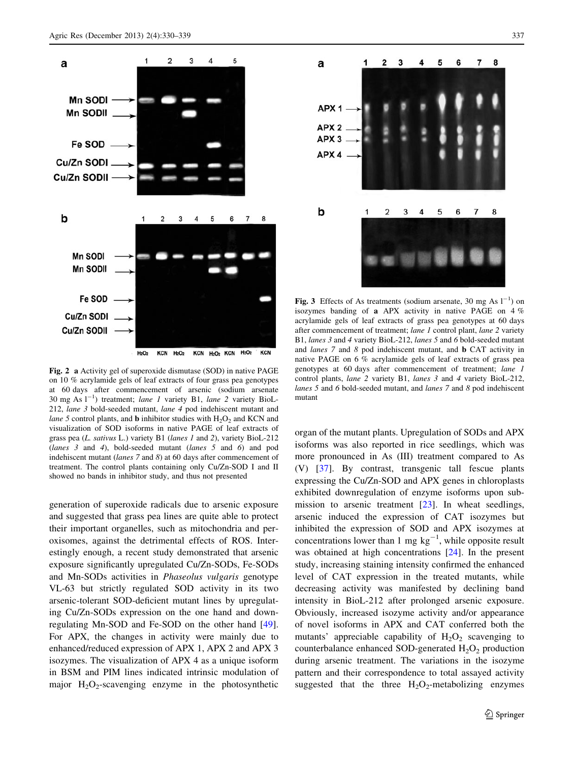<span id="page-7-0"></span>

 $H<sub>2</sub>O<sub>2</sub>$ KCN H<sub>2</sub>O<sub>2</sub> KCN H<sub>2</sub>O<sub>2</sub> KCN H<sub>2</sub>O<sub>2</sub> **KCN** 

Fig. 2 a Activity gel of superoxide dismutase (SOD) in native PAGE on 10 % acrylamide gels of leaf extracts of four grass pea genotypes at 60 days after commencement of arsenic (sodium arsenate 30 mg As  $1^{-1}$ ) treatment; lane 1 variety B1, lane 2 variety BioL-212, lane 3 bold-seeded mutant, lane 4 pod indehiscent mutant and lane 5 control plants, and **b** inhibitor studies with  $H_2O_2$  and KCN and visualization of SOD isoforms in native PAGE of leaf extracts of grass pea (L. sativus L.) variety B1 (lanes 1 and 2), variety BioL-212 (lanes 3 and 4), bold-seeded mutant (lanes 5 and 6) and pod indehiscent mutant (lanes 7 and 8) at 60 days after commencement of treatment. The control plants containing only Cu/Zn-SOD I and II showed no bands in inhibitor study, and thus not presented

generation of superoxide radicals due to arsenic exposure and suggested that grass pea lines are quite able to protect their important organelles, such as mitochondria and peroxisomes, against the detrimental effects of ROS. Interestingly enough, a recent study demonstrated that arsenic exposure significantly upregulated Cu/Zn-SODs, Fe-SODs and Mn-SODs activities in Phaseolus vulgaris genotype VL-63 but strictly regulated SOD activity in its two arsenic-tolerant SOD-deficient mutant lines by upregulating Cu/Zn-SODs expression on the one hand and downregulating Mn-SOD and Fe-SOD on the other hand [\[49](#page-9-0)]. For APX, the changes in activity were mainly due to enhanced/reduced expression of APX 1, APX 2 and APX 3 isozymes. The visualization of APX 4 as a unique isoform in BSM and PIM lines indicated intrinsic modulation of major  $H_2O_2$ -scavenging enzyme in the photosynthetic



Fig. 3 Effects of As treatments (sodium arsenate, 30 mg As  $1^{-1}$ ) on isozymes banding of a APX activity in native PAGE on 4 % acrylamide gels of leaf extracts of grass pea genotypes at 60 days after commencement of treatment; lane 1 control plant, lane 2 variety B1, lanes 3 and 4 variety BioL-212, lanes 5 and 6 bold-seeded mutant and lanes 7 and 8 pod indehiscent mutant, and b CAT activity in native PAGE on 6 % acrylamide gels of leaf extracts of grass pea genotypes at 60 days after commencement of treatment; lane 1 control plants, lane 2 variety B1, lanes 3 and 4 variety BioL-212, lanes 5 and 6 bold-seeded mutant, and lanes 7 and 8 pod indehiscent mutant

organ of the mutant plants. Upregulation of SODs and APX isoforms was also reported in rice seedlings, which was more pronounced in As (III) treatment compared to As (V) [\[37](#page-9-0)]. By contrast, transgenic tall fescue plants expressing the Cu/Zn-SOD and APX genes in chloroplasts exhibited downregulation of enzyme isoforms upon submission to arsenic treatment [[23\]](#page-8-0). In wheat seedlings, arsenic induced the expression of CAT isozymes but inhibited the expression of SOD and APX isozymes at concentrations lower than 1 mg  $kg^{-1}$ , while opposite result was obtained at high concentrations [\[24](#page-8-0)]. In the present study, increasing staining intensity confirmed the enhanced level of CAT expression in the treated mutants, while decreasing activity was manifested by declining band intensity in BioL-212 after prolonged arsenic exposure. Obviously, increased isozyme activity and/or appearance of novel isoforms in APX and CAT conferred both the mutants' appreciable capability of  $H_2O_2$  scavenging to counterbalance enhanced SOD-generated  $H_2O_2$  production during arsenic treatment. The variations in the isozyme pattern and their correspondence to total assayed activity suggested that the three  $H_2O_2$ -metabolizing enzymes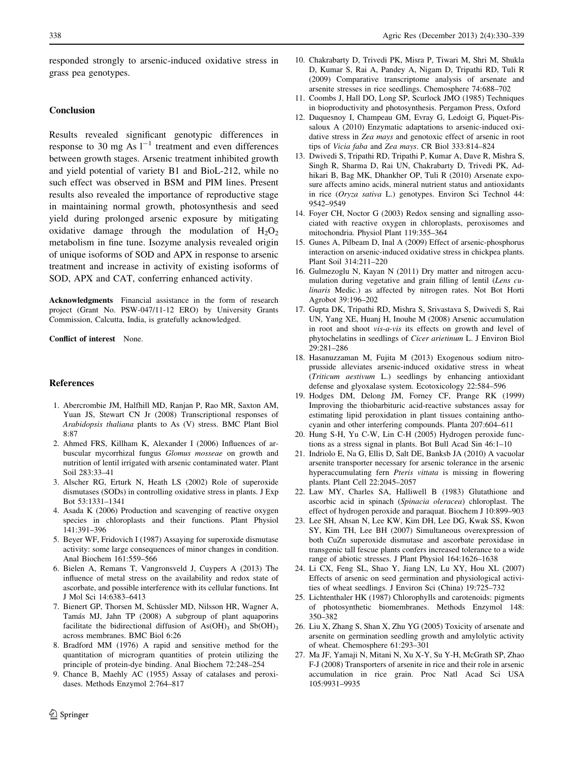<span id="page-8-0"></span>responded strongly to arsenic-induced oxidative stress in grass pea genotypes.

### Conclusion

Results revealed significant genotypic differences in response to 30 mg As  $1^{-1}$  treatment and even differences between growth stages. Arsenic treatment inhibited growth and yield potential of variety B1 and BioL-212, while no such effect was observed in BSM and PIM lines. Present results also revealed the importance of reproductive stage in maintaining normal growth, photosynthesis and seed yield during prolonged arsenic exposure by mitigating oxidative damage through the modulation of  $H_2O_2$ metabolism in fine tune. Isozyme analysis revealed origin of unique isoforms of SOD and APX in response to arsenic treatment and increase in activity of existing isoforms of SOD, APX and CAT, conferring enhanced activity.

Acknowledgments Financial assistance in the form of research project (Grant No. PSW-047/11-12 ERO) by University Grants Commission, Calcutta, India, is gratefully acknowledged.

Conflict of interest None.

## References

- 1. Abercrombie JM, Halfhill MD, Ranjan P, Rao MR, Saxton AM, Yuan JS, Stewart CN Jr (2008) Transcriptional responses of Arabidopsis thaliana plants to As (V) stress. BMC Plant Biol 8:87
- 2. Ahmed FRS, Killham K, Alexander I (2006) Influences of arbuscular mycorrhizal fungus Glomus mosseae on growth and nutrition of lentil irrigated with arsenic contaminated water. Plant Soil 283:33–41
- 3. Alscher RG, Erturk N, Heath LS (2002) Role of superoxide dismutases (SODs) in controlling oxidative stress in plants. J Exp Bot 53:1331–1341
- 4. Asada K (2006) Production and scavenging of reactive oxygen species in chloroplasts and their functions. Plant Physiol 141:391–396
- 5. Beyer WF, Fridovich I (1987) Assaying for superoxide dismutase activity: some large consequences of minor changes in condition. Anal Biochem 161:559–566
- 6. Bielen A, Remans T, Vangronsveld J, Cuypers A (2013) The influence of metal stress on the availability and redox state of ascorbate, and possible interference with its cellular functions. Int J Mol Sci 14:6383–6413
- 7. Bienert GP, Thorsen M, Schüssler MD, Nilsson HR, Wagner A, Tamás MJ, Jahn TP (2008) A subgroup of plant aquaporins facilitate the bidirectional diffusion of  $As(OH)_3$  and  $Sb(OH)_3$ across membranes. BMC Biol 6:26
- 8. Bradford MM (1976) A rapid and sensitive method for the quantitation of microgram quantities of protein utilizing the principle of protein-dye binding. Anal Biochem 72:248–254
- 9. Chance B, Maehly AC (1955) Assay of catalases and peroxidases. Methods Enzymol 2:764–817
- 10. Chakrabarty D, Trivedi PK, Misra P, Tiwari M, Shri M, Shukla D, Kumar S, Rai A, Pandey A, Nigam D, Tripathi RD, Tuli R (2009) Comparative transcriptome analysis of arsenate and arsenite stresses in rice seedlings. Chemosphere 74:688–702
- 11. Coombs J, Hall DO, Long SP, Scurlock JMO (1985) Techniques in bioproductivity and photosynthesis. Pergamon Press, Oxford
- 12. Duquesnoy I, Champeau GM, Evray G, Ledoigt G, Piquet-Pissaloux A (2010) Enzymatic adaptations to arsenic-induced oxidative stress in Zea mays and genotoxic effect of arsenic in root tips of Vicia faba and Zea mays. CR Biol 333:814–824
- 13. Dwivedi S, Tripathi RD, Tripathi P, Kumar A, Dave R, Mishra S, Singh R, Sharma D, Rai UN, Chakrabarty D, Trivedi PK, Adhikari B, Bag MK, Dhankher OP, Tuli R (2010) Arsenate exposure affects amino acids, mineral nutrient status and antioxidants in rice (Oryza sativa L.) genotypes. Environ Sci Technol 44: 9542–9549
- 14. Foyer CH, Noctor G (2003) Redox sensing and signalling associated with reactive oxygen in chloroplasts, peroxisomes and mitochondria. Physiol Plant 119:355–364
- 15. Gunes A, Pilbeam D, Inal A (2009) Effect of arsenic-phosphorus interaction on arsenic-induced oxidative stress in chickpea plants. Plant Soil 314:211–220
- 16. Gulmezoglu N, Kayan N (2011) Dry matter and nitrogen accumulation during vegetative and grain filling of lentil (Lens culinaris Medic.) as affected by nitrogen rates. Not Bot Horti Agrobot 39:196–202
- 17. Gupta DK, Tripathi RD, Mishra S, Srivastava S, Dwivedi S, Rai UN, Yang XE, Huanj H, Inouhe M (2008) Arsenic accumulation in root and shoot vis-a-vis its effects on growth and level of phytochelatins in seedlings of Cicer arietinum L. J Environ Biol 29:281–286
- 18. Hasanuzzaman M, Fujita M (2013) Exogenous sodium nitroprusside alleviates arsenic-induced oxidative stress in wheat (Triticum aestivum L.) seedlings by enhancing antioxidant defense and glyoxalase system. Ecotoxicology 22:584–596
- 19. Hodges DM, Delong JM, Forney CF, Prange RK (1999) Improving the thiobarbituric acid-reactive substances assay for estimating lipid peroxidation in plant tissues containing anthocyanin and other interfering compounds. Planta 207:604–611
- 20. Hung S-H, Yu C-W, Lin C-H (2005) Hydrogen peroxide functions as a stress signal in plants. Bot Bull Acad Sin 46:1–10
- 21. Indriolo E, Na G, Ellis D, Salt DE, Banksb JA (2010) A vacuolar arsenite transporter necessary for arsenic tolerance in the arsenic hyperaccumulating fern Pteris vittata is missing in flowering plants. Plant Cell 22:2045–2057
- 22. Law MY, Charles SA, Halliwell B (1983) Glutathione and ascorbic acid in spinach (Spinacia oleracea) chloroplast. The effect of hydrogen peroxide and paraquat. Biochem J 10:899–903
- 23. Lee SH, Ahsan N, Lee KW, Kim DH, Lee DG, Kwak SS, Kwon SY, Kim TH, Lee BH (2007) Simultaneous overexpression of both CuZn superoxide dismutase and ascorbate peroxidase in transgenic tall fescue plants confers increased tolerance to a wide range of abiotic stresses. J Plant Physiol 164:1626–1638
- 24. Li CX, Feng SL, Shao Y, Jiang LN, Lu XY, Hou XL (2007) Effects of arsenic on seed germination and physiological activities of wheat seedlings. J Environ Sci (China) 19:725–732
- 25. Lichtenthaler HK (1987) Chlorophylls and carotenoids: pigments of photosynthetic biomembranes. Methods Enzymol 148: 350–382
- 26. Liu X, Zhang S, Shan X, Zhu YG (2005) Toxicity of arsenate and arsenite on germination seedling growth and amylolytic activity of wheat. Chemosphere 61:293–301
- 27. Ma JF, Yamaji N, Mitani N, Xu X-Y, Su Y-H, McGrath SP, Zhao F-J (2008) Transporters of arsenite in rice and their role in arsenic accumulation in rice grain. Proc Natl Acad Sci USA 105:9931–9935